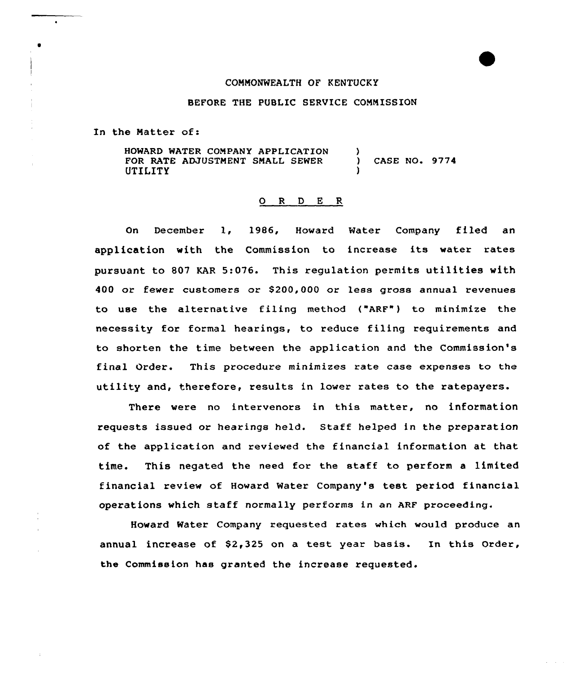#### CONNONWEALTH OF KENTUCKY

# BEFORE THE PUBLIC SERVICE COMMISSION

In the Matter of:

HOWARD WATER COMPANY APPLICATION FOR RATE ADJUSTMENT SNALL SEWER UTILITY ) ) CASE NO. 9774 )

#### 0 <sup>R</sup> <sup>D</sup> E R

On December 1, 1986, Howard Water Company filed an application with the Commission to increase its water rates pursuant to 807 KAR 5:076. This regulation permits utilities with 400 or fewer customers or \$200,000 or less gross annual revenues to use the alternative filing method ("ARF") to minimize the necessity for formal hearings, to reduce filing requirements and to shorten the time between the application and the Commission's final Order. This procedure minimizes rate case expenses to the utility and, therefore, results in lower rates to the ratepayers.

There were no intervenors in this matter, no information requests issued or hearings held. Staff helped in the preparation of the application and reviewed the financial information at that time. This negated the need for the staff to perform a limited financial review of Howard Water Company's test period financial operations which staff normally performs in an ARF proceeding.

Howard Water Company requested rates which would produce an annual increase of \$2,325 on a test year basis. In this Order, the Commission has granted the increase requested.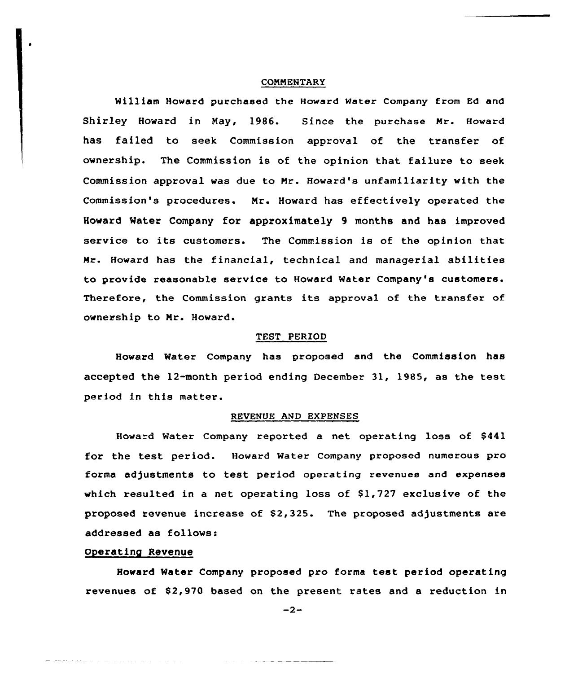#### COMMENTARY

William Howard purchased the Howard Mater Company from Ed and Shirley Howard in May, 1986. Since the purchase Mr. Howard has failed to seek Commission approval of the transfer of ownership. The Commission is of the opinion that failure to seek Commission approval was due to Mr. Howard's unfamiliarity with the Commission's procedures. Mr. Howard has effectively operated the Howard Water Company for approximately 9 months and has improved service to its customers. The Commission is of the opinion that Mr. Howard has the financial, technical and managerial abilities to provide reasonable service to Howard Water Company's customers. Therefore, the Commission grants its approval of the transfer of ownership to Mr. Howard.

# TEST PERIOD

Howard Water Company has proposed and the Commission has accepted the 12-month period ending December 31, 1985, as the test period in this matter.

### REVENUE AND EXPENSES

Howard Water Company reported a net operating loss of \$441 for the test period. Howard Water Company proposed numerous pro forma adjustments to test period operating revenues and expenses which resulted in a net operating loss of 81,727 exclusive of the proposed revenue increase of \$2,325. The proposed adjustments are addressed as follows:

### operating Revenue

Howard Water Company proposed pro forma test period operating revenues of \$2,970 based on the present rates and a reduction in

 $-2-$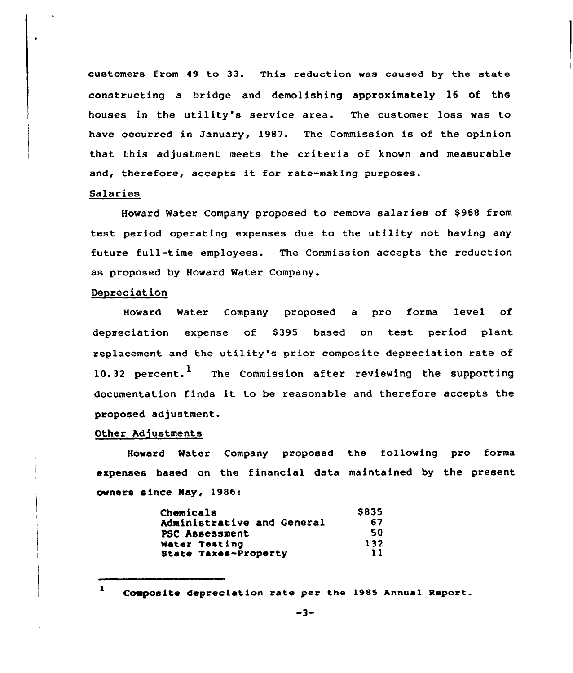customers from 49 to 33. This reduction was caused by the state constructing a bridge and demolishing approximately 16 of th6 houses in the utility's service area. The customer loss was to have occurred in January, 1987. The Commission is of the opinion that this adjustment meets the criteria of known and measurable and, therefore, accepts it for rate-making purposes.

# Salaries

Howard Water Company proposed to remove salaries of \$968 from test period operating expenses due to the utility not having any future full-time employees. The Commission accepts the reduction as proposed by Howard Water Company.

# Depreciation

Howard Water Company proposed a pro forma level of depreciation expense of 8395 based on test period plant replacement and the utility's prior composite depreciation rate of 10.32 percent. $<sup>1</sup>$  The Commission after reviewing the supporting</sup> documentation finds it to be reasonable and therefore accepts the proposed adjustment.

# Other Adjustments

Howard Water Company proposed the following pro forma expenses based on the financial data maintained by the present owners since May, 1986:

| Chemicals                  | \$835 |
|----------------------------|-------|
| Administrative and General | 67    |
| PSC Assessment             | 50    |
| Water Testing              | 132   |
| State Taxes-Property       | 11    |

<sup>1</sup> Composite depreciation rate per the 1985 Annual Report.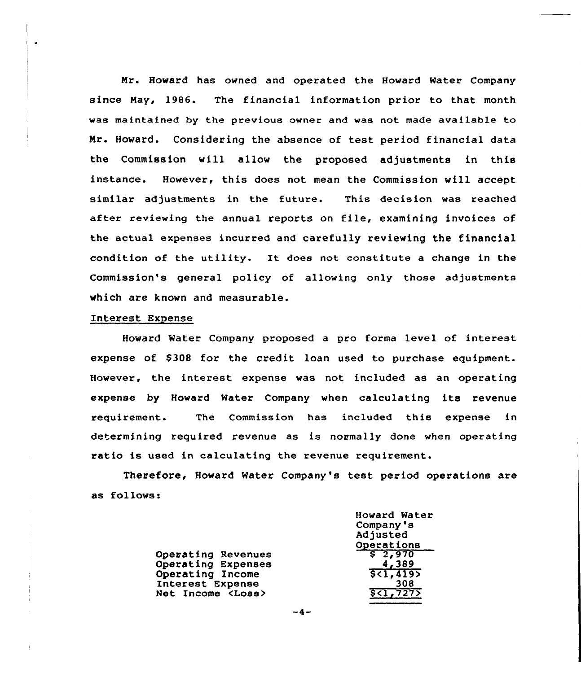Mr. Howard has owned and operated the Howard Water Company since May, 1986. The financial information prior to that month was maintained by the previous owner and was not made available to Mr. Howard. Considering the absence of test period financial data the Commission will allow the proposed adjustments in this instance. However, this does not mean the Commission will accept similar adjustments in the future. This decision was reached after reviewing the annual reports on file, examining invoices of the actual expenses incurred and carefully reviewing the financial condition of the utility. It does not constitute a change in the Commission's general policy of allowing only those adjustments which are known and measurable.

## Interest Expense

Howard Water Company proposed a pro forma level of interest expense of \$308 for the credit loan used to purchase equipment. However, the interest expense was not included as an operating expense by Howard water Company when calculating its revenue requirement. The Commission has included this expense in determining required revenue as is normally done when operating ratio is used in calculating the revenue requirement.

Therefore, Howard Water Company's test period operations are as follows:

Howard Water

|                          | ROWALU MALEL |
|--------------------------|--------------|
|                          | Company's    |
|                          | Adjusted     |
|                          | Operations   |
| Operating Revenues       | \$2,970      |
| Operating Expenses       | 4,389        |
| Operating Income         | 5<1,419      |
| Interest Expense         | 308          |
| Net Income <loss></loss> | 5<1,727      |
|                          |              |

 $-4-$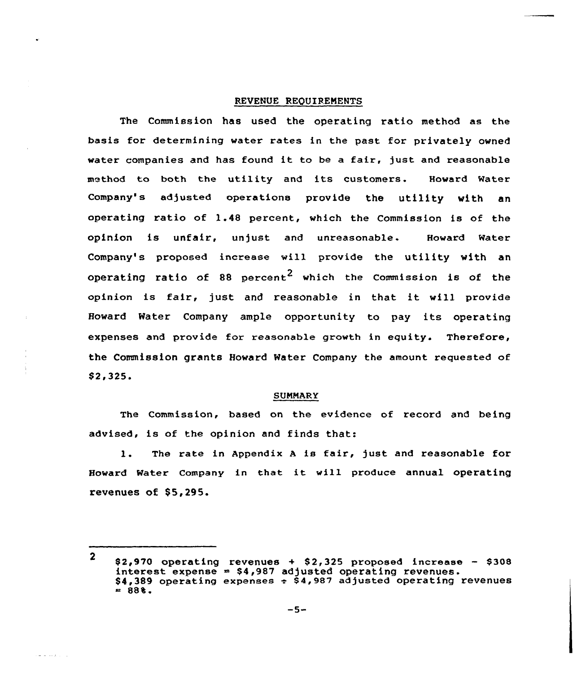### REVENUE REQUIREMENTS

The Commission has used the operating ratio method as the basis for determining water rates in the past for privately owned water companies and has found it to be <sup>a</sup> fair, just and reasonable method to both the utility and its customers. Howard Water Company's adjusted operations provide the utility with an operating ratio of 1.48 percent, which the Commission is of the opinion is unfair, unjust and unreasonable. Howard Water Company's proposed increase will provide the utility with an operating ratio of 88 percent<sup>2</sup> which the Commission is of the opinion is fair, just and reasonable in that it will provide Howard Water Company ample opportunity to pay its operating expenses and provide for reasonable growth in equity. Therefore, the Commission grants Howard Water Company the amount requested of \$ 2,325.

### **SUMMARY**

The Commission, based on the evidence of record and being advised, is of the opinion and finds that:

1. The rate in Appendix <sup>A</sup> is fair, just and reasonable for Howard Water Company in that it will produce annual operating revenues of \$5,295.

 $\Delta\omega = 1.002$  and  $\omega$ 

<sup>2</sup> 82,970 operating revenues <sup>+</sup> 82,325 proposed increase — S308 interest expense <sup>~</sup> \$ 4,987 adjusted operating revenues. \$4,389 operating expenses  $\div$  \$4,987 adjusted operating revenues 884.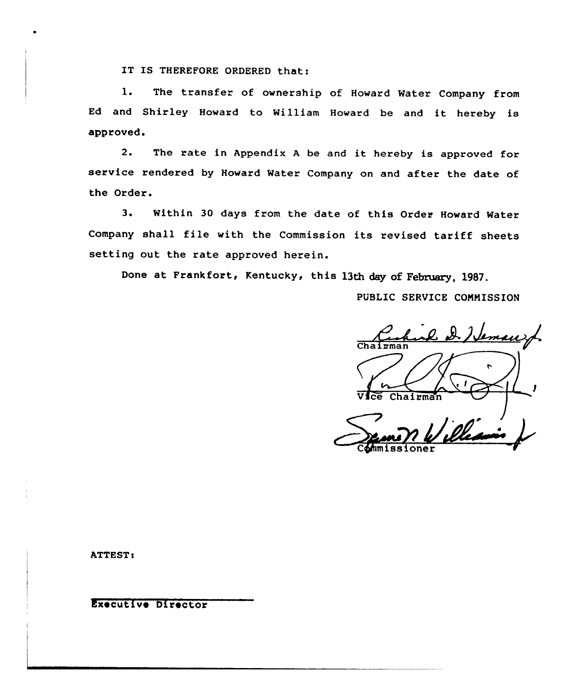IT IS THEREFORE ORDERED that:

1. The transfer of ownership of Howard Water Company from Ed and Shirley Howard to William Howard be and it hereby is approved.

2. The rate in Appendix <sup>A</sup> be and it hereby is approved for service rendered by Howard Water Company on and after the date of the Order.

3. Within 30 days from the date of this Order Howard Water Company shall file with the Commission its revised tariff sheets setting out the rate approved herein.

Done at Frankfort, Kentucky, this 13th day of February, 1987.

PUBLIC SERVICE COMNISSION

ing D. Heman Chairman oner

ATTEST!

Executive Director